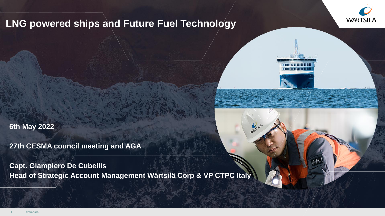

or SiLA

## **LNG powered ships and Future Fuel Technology**

**6th May 2022**

**27th CESMA council meeting and AGA**

**Capt. Giampiero De Cubellis Head of Strategic Account Management Wärtsilä Corp & VP CTPC Italy**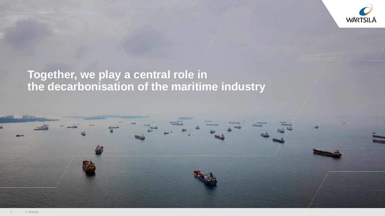

## **Together, we play a central role in the decarbonisation of the maritime industry**

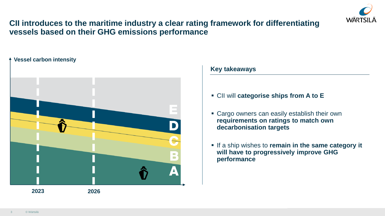

## **CII introduces to the maritime industry a clear rating framework for differentiating vessels based on their GHG emissions performance**

#### **Vessel carbon intensity**



#### **Key takeaways**

- CII will **categorise ships from A to E**
- Cargo owners can easily establish their own **requirements on ratings to match own decarbonisation targets**
- **.** If a ship wishes to **remain in the same category it will have to progressively improve GHG performance**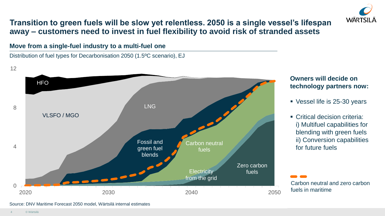

## **Transition to green fuels will be slow yet relentless. 2050 is a single vessel's lifespan away – customers need to invest in fuel flexibility to avoid risk of stranded assets**

**Move from a single-fuel industry to a multi-fuel one**

Distribution of fuel types for Decarbonisation 2050 (1.5ºC scenario), EJ





#### **Owners will decide on technology partners now:**

- Vessel life is 25-30 years
- Critical decision criteria: i) Multifuel capabilities for blending with green fuels ii) Conversion capabilities for future fuels

Carbon neutral and zero carbon fuels in maritime

Source: DNV Maritime Forecast 2050 model, Wärtsilä internal estimates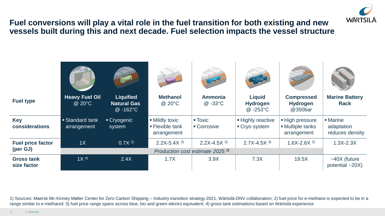

## **Fuel conversions will play a vital role in the fuel transition for both existing and new vessels built during this and next decade. Fuel selection impacts the vessel structure**



1) Sources: Maersk Mc-Kinney Møller Center for Zero Carbon Shipping – Industry transition strategy 2021, Wärtsilä-DNV collaboration; 2) fuel price for e-methane is expected to be in a range similar to e-methanol; 3) fuel price range spans across blue, bio and green-electro equivalent; 4) gross tank estimations based on Wärtsilä experience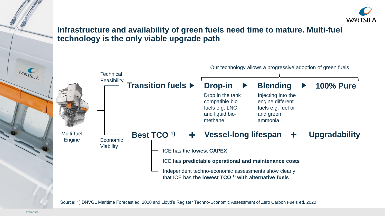

## **Infrastructure and availability of green fuels need time to mature. Multi-fuel technology is the only viable upgrade path**



Source: 1) DNVGL Maritime Forecast ed. 2020 and Lloyd's Register Techno-Economic Assessment of Zero Carbon Fuels ed. 2020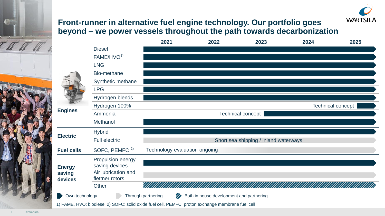

## **Front-runner in alternative fuel engine technology. Our portfolio goes beyond – we power vessels throughout the path towards decarbonization**

|                                    |                                                                                                                                                                                                | 2021               | 2022                                     | 2023 | 2024 | 2025                     |
|------------------------------------|------------------------------------------------------------------------------------------------------------------------------------------------------------------------------------------------|--------------------|------------------------------------------|------|------|--------------------------|
|                                    | <b>Diesel</b>                                                                                                                                                                                  |                    |                                          |      |      |                          |
|                                    | FAME/HVO <sup>1)</sup>                                                                                                                                                                         |                    |                                          |      |      |                          |
|                                    | <b>LNG</b>                                                                                                                                                                                     |                    |                                          |      |      |                          |
|                                    | Bio-methane                                                                                                                                                                                    |                    |                                          |      |      |                          |
|                                    | Synthetic methane                                                                                                                                                                              |                    |                                          |      |      |                          |
|                                    | <b>LPG</b>                                                                                                                                                                                     |                    |                                          |      |      |                          |
|                                    | Hydrogen blends                                                                                                                                                                                |                    |                                          |      |      |                          |
|                                    | Hydrogen 100%                                                                                                                                                                                  |                    |                                          |      |      | <b>Technical concept</b> |
| <b>Engines</b>                     | Ammonia                                                                                                                                                                                        |                    |                                          |      |      |                          |
|                                    | Methanol                                                                                                                                                                                       |                    |                                          |      |      |                          |
|                                    | <b>Hybrid</b>                                                                                                                                                                                  |                    |                                          |      |      |                          |
| <b>Electric</b>                    | <b>Technical concept</b><br><b>Full electric</b><br>Short sea shipping / inland waterways<br>Technology evaluation ongoing<br>SOFC, PEMFC <sup>2)</sup><br>Propulsion energy<br>saving devices |                    |                                          |      |      |                          |
| <b>Fuel cells</b>                  |                                                                                                                                                                                                |                    |                                          |      |      |                          |
| <b>Energy</b><br>saving<br>devices | Air lubrication and<br>flettner rotors                                                                                                                                                         |                    |                                          |      |      |                          |
|                                    | Other                                                                                                                                                                                          |                    |                                          |      |      |                          |
| Own technology                     |                                                                                                                                                                                                | Through partnering | Both in house development and partnering |      |      |                          |
|                                    | 1) FAME, HVO: biodiesel 2) SOFC: solid oxide fuel cell, PEMFC: proton exchange membrane fuel cell                                                                                              |                    |                                          |      |      |                          |

© Wärtsilä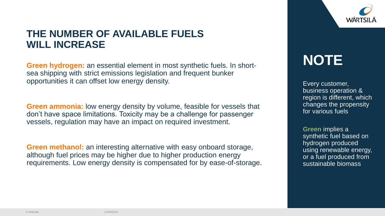

## **THE NUMBER OF AVAILABLE FUELS WILL INCREASE**

**Green hydrogen:** an essential element in most synthetic fuels. In shortsea shipping with strict emissions legislation and frequent bunker opportunities it can offset low energy density.

**Green ammonia:** low energy density by volume, feasible for vessels that don't have space limitations. Toxicity may be a challenge for passenger vessels, regulation may have an impact on required investment.

**Green methanol:** an interesting alternative with easy onboard storage, although fuel prices may be higher due to higher production energy requirements. Low energy density is compensated for by ease-of-storage.

# **NOTE**

Every customer, business operation & region is different, which changes the propensity for various fuels

**Green** implies a synthetic fuel based on hydrogen produced using renewable energy, or a fuel produced from sustainable biomass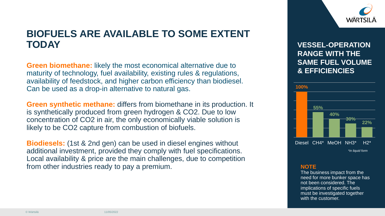

## **BIOFUELS ARE AVAILABLE TO SOME EXTENT TODAY**

**Green biomethane:** likely the most economical alternative due to maturity of technology, fuel availability, existing rules & regulations, availability of feedstock, and higher carbon efficiency than biodiesel. Can be used as a drop-in alternative to natural gas.

**Green synthetic methane:** differs from biomethane in its production. It is synthetically produced from green hydrogen & CO2. Due to low concentration of CO2 in air, the only economically viable solution is likely to be CO2 capture from combustion of biofuels.

**Biodiesels:** (1st & 2nd gen) can be used in diesel engines without additional investment, provided they comply with fuel specifications. Local availability & price are the main challenges, due to competition from other industries ready to pay a premium. **NOTE NOTE** 

#### **VESSEL-OPERATION RANGE WITH THE SAME FUEL VOLUME & EFFICIENCIES**



The business impact from the need for more bunker space has not been considered. The implications of specific fuels must be investigated together with the customer.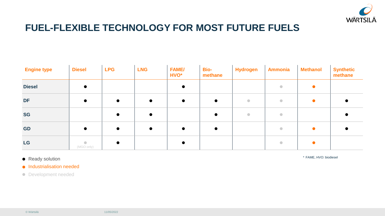

## **FUEL-FLEXIBLE TECHNOLOGY FOR MOST FUTURE FUELS**

| <b>Engine type</b> | <b>Diesel</b>           | <b>LPG</b> | <b>LNG</b> | <b>FAME/</b><br>HVO* | <b>Bio-</b><br>methane | <b>Hydrogen</b> | <b>Ammonia</b>                                               | <b>Methanol</b> | <b>Synthetic</b><br>methane |
|--------------------|-------------------------|------------|------------|----------------------|------------------------|-----------------|--------------------------------------------------------------|-----------------|-----------------------------|
| <b>Diesel</b>      |                         |            |            |                      |                        |                 | $\bullet$                                                    |                 |                             |
| <b>DF</b>          |                         |            |            |                      | $\bullet$              | $\bullet$       | $\bullet$                                                    |                 |                             |
| <b>SG</b>          |                         |            |            |                      | $\bullet$              | $\bullet$       | $\bullet$                                                    |                 |                             |
| <b>GD</b>          |                         |            | $\bullet$  |                      | $\bullet$              |                 | $\begin{array}{ccc} \bullet & \bullet & \bullet \end{array}$ |                 |                             |
| <b>LG</b>          | $\bullet$<br>(MGO only) |            |            |                      |                        |                 | $\qquad \qquad \bullet$                                      |                 |                             |

Ready solution **•**

\* FAME, HVO: biodiesel

**•** Industrialisation needed

Development needed **•**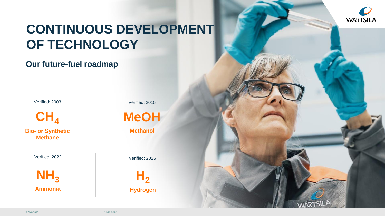

# **CONTINUOUS DEVELOPMENT OF TECHNOLOGY**

## **Our future-fuel roadmap**

Verified: 2003

**Bio-** or Synthetic Methanol **Methane**

Verified: 2022

**Ammonia NH<sup>3</sup> H<sup>2</sup>**

Verified: 2015



Verified: 2025

**Hydrogen**

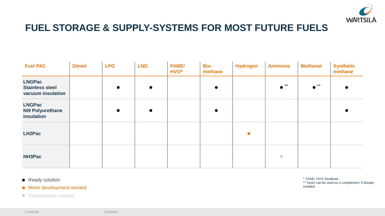

## **FUEL STORAGE & SUPPLY-SYSTEMS FOR MOST FUTURE FUELS**

| <b>Fuel PAC</b>                                              | <b>Diesel</b> | <b>LPG</b> | <b>LNG</b> | <b>FAME/</b><br>HVO* | <b>Bio-</b><br>methane | <b>Hydrogen</b> | <b>Ammonia</b> | <b>Methanol</b> | <b>Synthetic</b><br>methane |
|--------------------------------------------------------------|---------------|------------|------------|----------------------|------------------------|-----------------|----------------|-----------------|-----------------------------|
| <b>LNGPac</b><br><b>Stainless steel</b><br>vacuum insulation |               | $\bullet$  | $\bullet$  |                      | $\bullet$              |                 | $***$          | $***$           |                             |
| <b>LNGPac</b><br><b>Ni9 Polyurethane</b><br>insulation       |               | $\bullet$  | $\bullet$  |                      |                        |                 |                |                 |                             |
| LH2Pac                                                       |               |            |            |                      |                        |                 |                |                 |                             |
| NH3Pac                                                       |               |            |            |                      |                        |                 | $\bullet$      |                 |                             |

Ready solution **•**

Minor development needed **•**

Development needed **•**

\* FAME, HVO: Biodiesel \*\* Tanks can be used as a complement, if already installed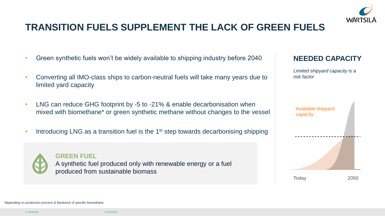

## **TRANSITION FUELS SUPPLEMENT THE LACK OF GREEN FUELS**

- Green synthetic fuels won't be widely available to shipping industry before 2040
- Converting all IMO-class ships to carbon-neutral fuels will take many years due to limited yard capacity
- LNG can reduce GHG footprint by -5 to -21% & enable decarbonisation when mixed with biomethane\* or green synthetic methane without changes to the vessel
- Introducing LNG as a transition fuel is the  $1<sup>st</sup>$  step towards decarbonising shipping



#### **GREEN FUEL**

A synthetic fuel produced only with renewable energy or a fuel produced from sustainable biomass

#### **NEEDED CAPACITY**

*Limited shipyard capacity is a risk factor* 



*\*depending on production process & feedstock of specific biomethane*